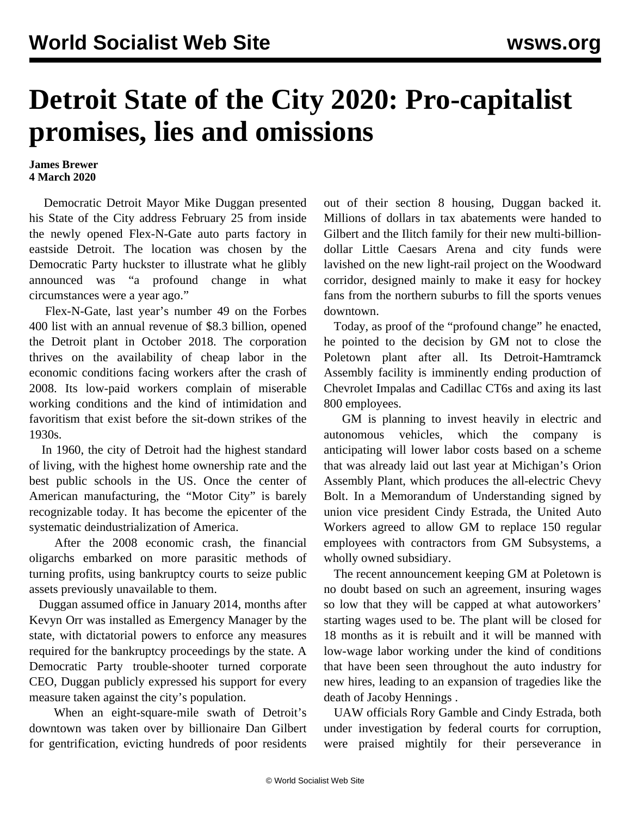## **Detroit State of the City 2020: Pro-capitalist promises, lies and omissions**

## **James Brewer 4 March 2020**

 Democratic Detroit Mayor Mike Duggan presented his State of the City address February 25 from inside the newly opened Flex-N-Gate auto parts factory in eastside Detroit. The location was chosen by the Democratic Party huckster to illustrate what he glibly announced was "a profound change in what circumstances were a year ago."

 Flex-N-Gate, last year's number 49 on the Forbes 400 list with an annual revenue of \$8.3 billion, opened the Detroit plant in October 2018. The corporation thrives on the availability of cheap labor in the economic conditions facing workers after the crash of 2008. Its low-paid workers complain of miserable working conditions and the kind of intimidation and favoritism that exist before the sit-down strikes of the 1930s.

 In 1960, the city of Detroit had the highest standard of living, with the highest home ownership rate and the best public schools in the US. Once the center of American manufacturing, the "Motor City" is barely recognizable today. It has become the epicenter of the systematic deindustrialization of America.

 After the 2008 economic crash, the financial oligarchs embarked on more parasitic methods of turning profits, using bankruptcy courts to seize public assets previously unavailable to them.

 Duggan assumed office in January 2014, months after Kevyn Orr was installed as Emergency Manager by the state, with dictatorial powers to enforce any measures required for the bankruptcy proceedings by the state. A Democratic Party trouble-shooter turned corporate CEO, Duggan publicly expressed his support for every measure taken against the city's population.

 When an eight-square-mile swath of Detroit's downtown was taken over by billionaire Dan Gilbert for gentrification, evicting hundreds of poor residents

out of their section 8 housing, Duggan backed it. Millions of dollars in tax abatements were handed to Gilbert and the Ilitch family for their new multi-billiondollar Little Caesars Arena and city funds were lavished on the new light-rail project on the Woodward corridor, designed mainly to make it easy for hockey fans from the northern suburbs to fill the sports venues downtown.

 Today, as proof of the "profound change" he enacted, he pointed to the decision by GM not to close the Poletown plant after all. Its Detroit-Hamtramck Assembly facility is imminently ending production of Chevrolet Impalas and Cadillac CT6s and axing its last 800 employees.

 GM is planning to invest heavily in electric and autonomous vehicles, which the company is anticipating will lower labor costs based on a scheme that was already laid out last year at Michigan's Orion Assembly Plant, which produces the all-electric Chevy Bolt. In a Memorandum of Understanding signed by union vice president Cindy Estrada, the United Auto Workers agreed to allow GM to replace 150 regular employees with contractors from GM Subsystems, a wholly owned subsidiary.

 The recent announcement keeping GM at Poletown is no doubt based on such an agreement, insuring wages so low that they will be capped at what autoworkers' starting wages used to be. The plant will be closed for 18 months as it is rebuilt and it will be manned with low-wage labor working under the kind of conditions that have been seen throughout the auto industry for new hires, leading to an expansion of tragedies like the death of [Jacoby Hennings](/en/articles/2018/10/20/coby-o20.html) .

 UAW officials Rory Gamble and Cindy Estrada, both under investigation by federal courts for corruption, were praised mightily for their perseverance in